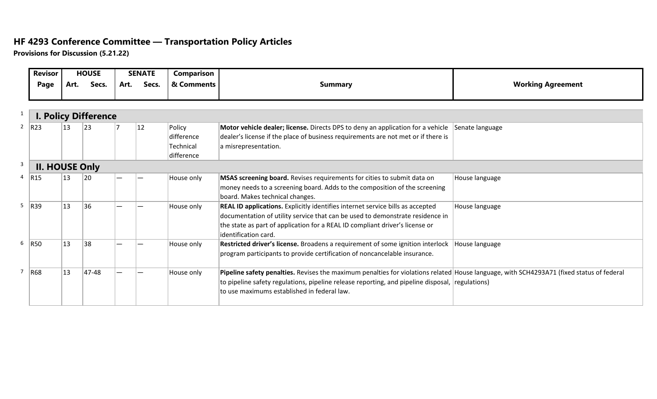## **HF 4293 Conference Committee — Transportation Policy Articles**

**Provisions for Discussion (5.21.22)**

|              | <b>Revisor</b>              | <b>HOUSE</b> |       | <b>SENATE</b> |              | Comparison |                                                                                                                                          |                          |  |  |  |  |  |
|--------------|-----------------------------|--------------|-------|---------------|--------------|------------|------------------------------------------------------------------------------------------------------------------------------------------|--------------------------|--|--|--|--|--|
|              | Page                        | Art.         | Secs. | Art.          | Secs.        | & Comments | <b>Summary</b>                                                                                                                           | <b>Working Agreement</b> |  |  |  |  |  |
|              |                             |              |       |               |              |            |                                                                                                                                          |                          |  |  |  |  |  |
| $\mathbf{1}$ | <b>I. Policy Difference</b> |              |       |               |              |            |                                                                                                                                          |                          |  |  |  |  |  |
|              | 2  R23                      | 13           | 23    |               | $ 12\rangle$ | Policy     | Motor vehicle dealer; license. Directs DPS to deny an application for a vehicle                                                          | Senate language          |  |  |  |  |  |
|              |                             |              |       |               |              | difference | dealer's license if the place of business requirements are not met or if there is                                                        |                          |  |  |  |  |  |
|              |                             |              |       |               |              | Technical  | a misrepresentation.                                                                                                                     |                          |  |  |  |  |  |
|              |                             |              |       |               |              | difference |                                                                                                                                          |                          |  |  |  |  |  |
| 3            | <b>II. HOUSE Only</b>       |              |       |               |              |            |                                                                                                                                          |                          |  |  |  |  |  |
|              | 4   R15                     | 13           | 20    |               |              | House only | MSAS screening board. Revises requirements for cities to submit data on                                                                  | House language           |  |  |  |  |  |
|              |                             |              |       |               |              |            | money needs to a screening board. Adds to the composition of the screening                                                               |                          |  |  |  |  |  |
|              |                             |              |       |               |              |            | board. Makes technical changes.                                                                                                          |                          |  |  |  |  |  |
|              | $5$ R39                     | 13           | 36    |               |              | House only | REAL ID applications. Explicitly identifies internet service bills as accepted                                                           | House language           |  |  |  |  |  |
|              |                             |              |       |               |              |            | documentation of utility service that can be used to demonstrate residence in                                                            |                          |  |  |  |  |  |
|              |                             |              |       |               |              |            | the state as part of application for a REAL ID compliant driver's license or                                                             |                          |  |  |  |  |  |
|              |                             |              |       |               |              |            | lidentification card.                                                                                                                    |                          |  |  |  |  |  |
|              | 6   R50                     | 13           | 38    |               |              | House only | Restricted driver's license. Broadens a requirement of some ignition interlock                                                           | House language           |  |  |  |  |  |
|              |                             |              |       |               |              |            | program participants to provide certification of noncancelable insurance.                                                                |                          |  |  |  |  |  |
|              |                             |              |       |               |              |            |                                                                                                                                          |                          |  |  |  |  |  |
| $7^{\circ}$  | R68                         | 13           | 47-48 |               |              | House only | Pipeline safety penalties. Revises the maximum penalties for violations related House language, with SCH4293A71 (fixed status of federal |                          |  |  |  |  |  |
|              |                             |              |       |               |              |            | to pipeline safety regulations, pipeline release reporting, and pipeline disposal, regulations)                                          |                          |  |  |  |  |  |
|              |                             |              |       |               |              |            | to use maximums established in federal law.                                                                                              |                          |  |  |  |  |  |
|              |                             |              |       |               |              |            |                                                                                                                                          |                          |  |  |  |  |  |